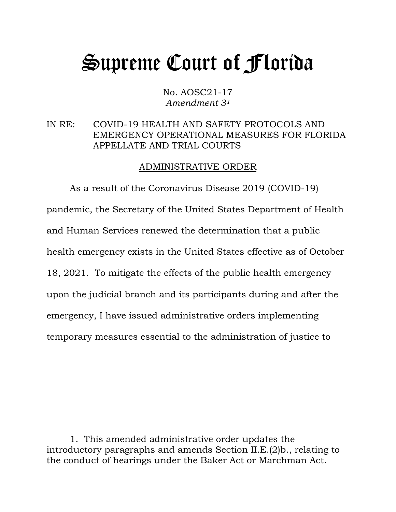# Supreme Court of Florida

No. AOSC21-17 *Amendment 3[1](#page-0-0)*

### IN RE: COVID-19 HEALTH AND SAFETY PROTOCOLS AND EMERGENCY OPERATIONAL MEASURES FOR FLORIDA APPELLATE AND TRIAL COURTS

#### ADMINISTRATIVE ORDER

As a result of the Coronavirus Disease 2019 (COVID-19) pandemic, the Secretary of the United States Department of Health and Human Services renewed the determination that a public health emergency exists in the United States effective as of October 18, 2021. To mitigate the effects of the public health emergency upon the judicial branch and its participants during and after the emergency, I have issued administrative orders implementing temporary measures essential to the administration of justice to

<span id="page-0-0"></span><sup>1.</sup> This amended administrative order updates the introductory paragraphs and amends Section II.E.(2)b., relating to the conduct of hearings under the Baker Act or Marchman Act.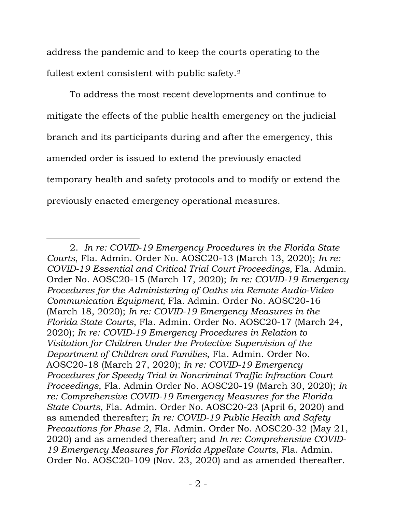address the pandemic and to keep the courts operating to the fullest extent consistent with public safety.[2](#page-1-0)

To address the most recent developments and continue to mitigate the effects of the public health emergency on the judicial branch and its participants during and after the emergency, this amended order is issued to extend the previously enacted temporary health and safety protocols and to modify or extend the previously enacted emergency operational measures.

<span id="page-1-0"></span><sup>2.</sup> *In re: COVID-19 Emergency Procedures in the Florida State Courts*, Fla. Admin. Order No. AOSC20-13 (March 13, 2020); *In re: COVID-19 Essential and Critical Trial Court Proceedings,* Fla. Admin. Order No. AOSC20-15 (March 17, 2020); *In re: COVID-19 Emergency Procedures for the Administering of Oaths via Remote Audio-Video Communication Equipment,* Fla. Admin. Order No. AOSC20-16 (March 18, 2020); *In re: COVID-19 Emergency Measures in the Florida State Courts*, Fla. Admin. Order No. AOSC20-17 (March 24, 2020); *In re: COVID-19 Emergency Procedures in Relation to Visitation for Children Under the Protective Supervision of the Department of Children and Families*, Fla. Admin. Order No. AOSC20-18 (March 27, 2020); *In re: COVID-19 Emergency Procedures for Speedy Trial in Noncriminal Traffic Infraction Court Proceedings*, Fla. Admin Order No. AOSC20-19 (March 30, 2020); *In re: Comprehensive COVID-19 Emergency Measures for the Florida State Courts*, Fla. Admin. Order No. AOSC20-23 (April 6, 2020) and as amended thereafter; *In re: COVID-19 Public Health and Safety Precautions for Phase 2*, Fla. Admin. Order No. AOSC20-32 (May 21, 2020) and as amended thereafter; and *In re: Comprehensive COVID-19 Emergency Measures for Florida Appellate Courts*, Fla. Admin. Order No. AOSC20-109 (Nov. 23, 2020) and as amended thereafter.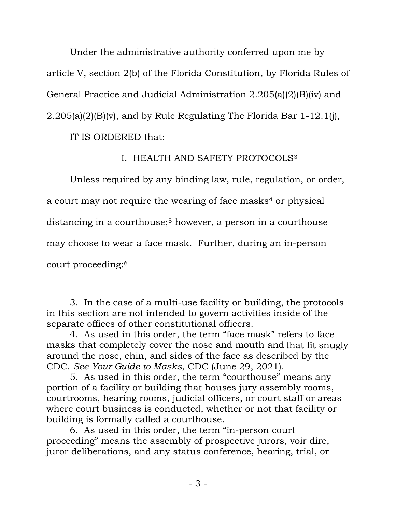Under the administrative authority conferred upon me by article V, section 2(b) of the Florida Constitution, by Florida Rules of General Practice and Judicial Administration 2.205(a)(2)(B)(iv) and 2.205(a)(2)(B)(v), and by Rule Regulating The Florida Bar 1-12.1(j),

IT IS ORDERED that:

# I. HEALTH AND SAFETY PROTOCOLS[3](#page-2-0)

Unless required by any binding law, rule, regulation, or order, a court may not require the wearing of face masks<sup>[4](#page-2-1)</sup> or physical distancing in a courthouse;<sup>[5](#page-2-2)</sup> however, a person in a courthouse may choose to wear a face mask. Further, during an in-person court proceeding:[6](#page-2-3)

<span id="page-2-0"></span><sup>3.</sup> In the case of a multi-use facility or building, the protocols in this section are not intended to govern activities inside of the separate offices of other constitutional officers.

<span id="page-2-1"></span><sup>4.</sup> As used in this order, the term "face mask" refers to face masks that completely cover the nose and mouth and that fit snugly around the nose, chin, and sides of the face as described by the CDC. *See Your Guide to Masks*, CDC (June 29, 2021).

<span id="page-2-2"></span><sup>5.</sup> As used in this order, the term "courthouse" means any portion of a facility or building that houses jury assembly rooms, courtrooms, hearing rooms, judicial officers, or court staff or areas where court business is conducted, whether or not that facility or building is formally called a courthouse.

<span id="page-2-3"></span><sup>6.</sup> As used in this order, the term "in-person court proceeding" means the assembly of prospective jurors, voir dire, juror deliberations, and any status conference, hearing, trial, or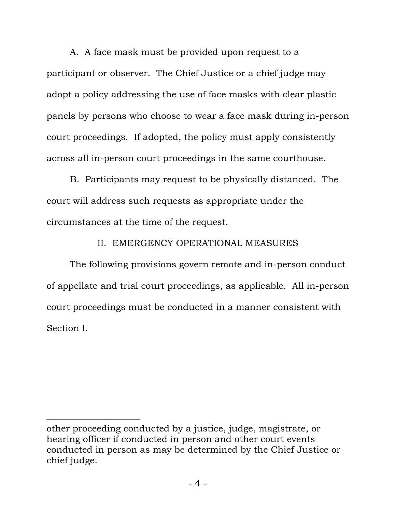A. A face mask must be provided upon request to a participant or observer. The Chief Justice or a chief judge may adopt a policy addressing the use of face masks with clear plastic panels by persons who choose to wear a face mask during in-person court proceedings. If adopted, the policy must apply consistently across all in-person court proceedings in the same courthouse.

B. Participants may request to be physically distanced. The court will address such requests as appropriate under the circumstances at the time of the request.

## II. EMERGENCY OPERATIONAL MEASURES

The following provisions govern remote and in-person conduct of appellate and trial court proceedings, as applicable. All in-person court proceedings must be conducted in a manner consistent with Section I.

other proceeding conducted by a justice, judge, magistrate, or hearing officer if conducted in person and other court events conducted in person as may be determined by the Chief Justice or chief judge.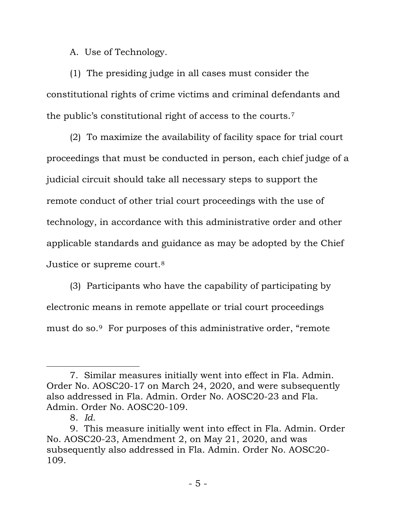A. Use of Technology.

(1) The presiding judge in all cases must consider the constitutional rights of crime victims and criminal defendants and the public's constitutional right of access to the courts.[7](#page-4-0)

(2) To maximize the availability of facility space for trial court proceedings that must be conducted in person, each chief judge of a judicial circuit should take all necessary steps to support the remote conduct of other trial court proceedings with the use of technology, in accordance with this administrative order and other applicable standards and guidance as may be adopted by the Chief Justice or supreme court.<sup>[8](#page-4-1)</sup>

(3) Participants who have the capability of participating by electronic means in remote appellate or trial court proceedings must do so.[9](#page-4-2) For purposes of this administrative order, "remote

<span id="page-4-0"></span><sup>7.</sup> Similar measures initially went into effect in Fla. Admin. Order No. AOSC20-17 on March 24, 2020, and were subsequently also addressed in Fla. Admin. Order No. AOSC20-23 and Fla. Admin. Order No. AOSC20-109.

<sup>8.</sup> *Id.*

<span id="page-4-2"></span><span id="page-4-1"></span><sup>9.</sup> This measure initially went into effect in Fla. Admin. Order No. AOSC20-23, Amendment 2, on May 21, 2020, and was subsequently also addressed in Fla. Admin. Order No. AOSC20- 109.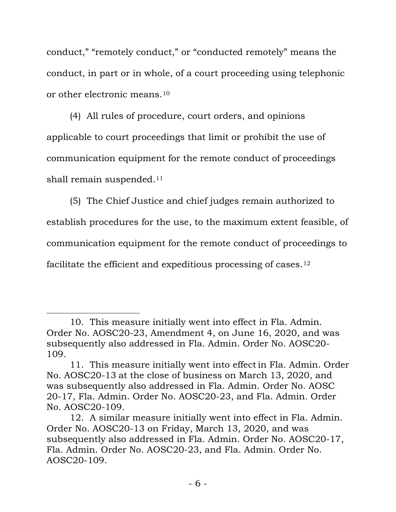conduct," "remotely conduct," or "conducted remotely" means the conduct, in part or in whole, of a court proceeding using telephonic or other electronic means[.10](#page-5-0)

(4) All rules of procedure, court orders, and opinions applicable to court proceedings that limit or prohibit the use of communication equipment for the remote conduct of proceedings shall remain suspended.<sup>[11](#page-5-1)</sup>

(5) The Chief Justice and chief judges remain authorized to establish procedures for the use, to the maximum extent feasible, of communication equipment for the remote conduct of proceedings to facilitate the efficient and expeditious processing of cases.[12](#page-5-2)

<span id="page-5-0"></span><sup>10.</sup> This measure initially went into effect in Fla. Admin. Order No. AOSC20-23, Amendment 4, on June 16, 2020, and was subsequently also addressed in Fla. Admin. Order No. AOSC20- 109.

<span id="page-5-1"></span><sup>11.</sup> This measure initially went into effectin Fla. Admin. Order No. AOSC20-13 at the close of business on March 13, 2020, and was subsequently also addressed in Fla. Admin. Order No. AOSC 20-17, Fla. Admin. Order No. AOSC20-23, and Fla. Admin. Order No. AOSC20-109.

<span id="page-5-2"></span><sup>12.</sup> A similar measure initially went into effect in Fla. Admin. Order No. AOSC20-13 on Friday, March 13, 2020, and was subsequently also addressed in Fla. Admin. Order No. AOSC20-17, Fla. Admin. Order No. AOSC20-23, and Fla. Admin. Order No. AOSC20-109.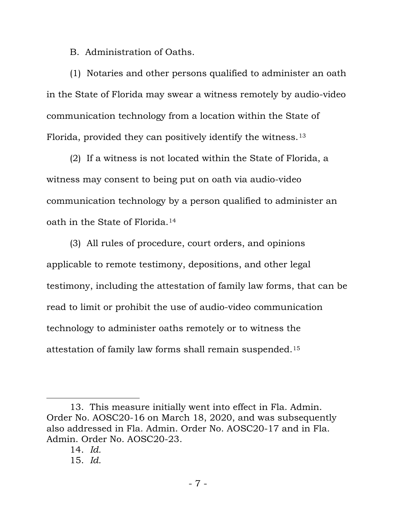B. Administration of Oaths.

(1) Notaries and other persons qualified to administer an oath in the State of Florida may swear a witness remotely by audio-video communication technology from a location within the State of Florida, provided they can positively identify the witness.[13](#page-6-0)

(2) If a witness is not located within the State of Florida, a witness may consent to being put on oath via audio-video communication technology by a person qualified to administer an oath in the State of Florida.[14](#page-6-1)

(3) All rules of procedure, court orders, and opinions applicable to remote testimony, depositions, and other legal testimony, including the attestation of family law forms, that can be read to limit or prohibit the use of audio-video communication technology to administer oaths remotely or to witness the attestation of family law forms shall remain suspended.[15](#page-6-2)

<span id="page-6-2"></span><span id="page-6-1"></span><span id="page-6-0"></span><sup>13.</sup> This measure initially went into effect in Fla. Admin. Order No. AOSC20-16 on March 18, 2020, and was subsequently also addressed in Fla. Admin. Order No. AOSC20-17 and in Fla. Admin. Order No. AOSC20-23.

<sup>14.</sup> *Id.*

<sup>15.</sup> *Id.*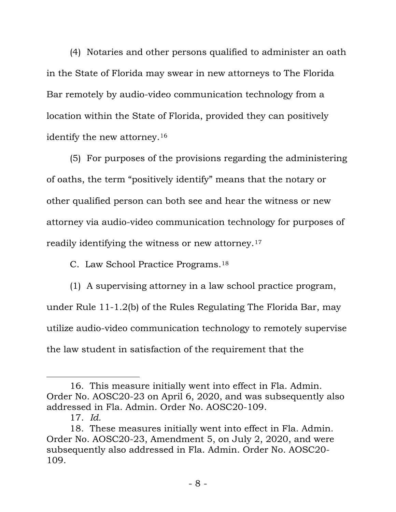(4) Notaries and other persons qualified to administer an oath in the State of Florida may swear in new attorneys to The Florida Bar remotely by audio-video communication technology from a location within the State of Florida, provided they can positively identify the new attorney.[16](#page-7-0)

(5) For purposes of the provisions regarding the administering of oaths, the term "positively identify" means that the notary or other qualified person can both see and hear the witness or new attorney via audio-video communication technology for purposes of readily identifying the witness or new attorney.[17](#page-7-1)

C. Law School Practice Programs.[18](#page-7-2)

(1) A supervising attorney in a law school practice program, under Rule 11-1.2(b) of the Rules Regulating The Florida Bar, may utilize audio-video communication technology to remotely supervise the law student in satisfaction of the requirement that the

<span id="page-7-0"></span><sup>16.</sup> This measure initially went into effect in Fla. Admin. Order No. AOSC20-23 on April 6, 2020, and was subsequently also addressed in Fla. Admin. Order No. AOSC20-109.

<sup>17.</sup> *Id.*

<span id="page-7-2"></span><span id="page-7-1"></span><sup>18.</sup> These measures initially went into effect in Fla. Admin. Order No. AOSC20-23, Amendment 5, on July 2, 2020, and were subsequently also addressed in Fla. Admin. Order No. AOSC20- 109.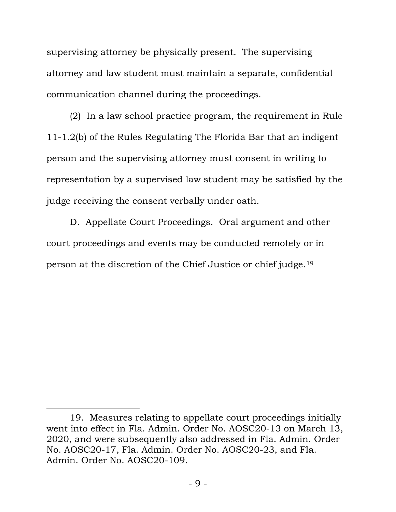supervising attorney be physically present. The supervising attorney and law student must maintain a separate, confidential communication channel during the proceedings.

(2) In a law school practice program, the requirement in Rule 11-1.2(b) of the Rules Regulating The Florida Bar that an indigent person and the supervising attorney must consent in writing to representation by a supervised law student may be satisfied by the judge receiving the consent verbally under oath.

D. Appellate Court Proceedings. Oral argument and other court proceedings and events may be conducted remotely or in person at the discretion of the Chief Justice or chief judge.[19](#page-8-0)

<span id="page-8-0"></span><sup>19.</sup> Measures relating to appellate court proceedings initially went into effect in Fla. Admin. Order No. AOSC20-13 on March 13, 2020, and were subsequently also addressed in Fla. Admin. Order No. AOSC20-17, Fla. Admin. Order No. AOSC20-23, and Fla. Admin. Order No. AOSC20-109.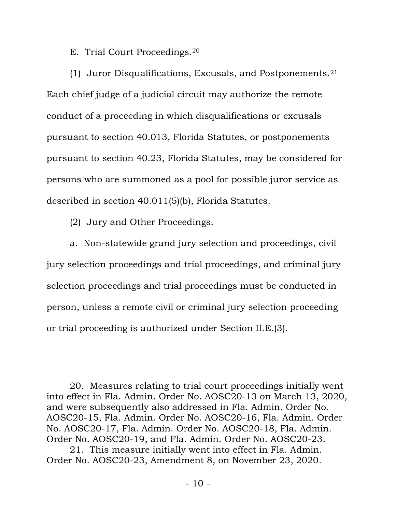E. Trial Court Proceedings[.20](#page-9-0)

(1) Juror Disqualifications, Excusals, and Postponements.[21](#page-9-1) Each chief judge of a judicial circuit may authorize the remote conduct of a proceeding in which disqualifications or excusals pursuant to section 40.013, Florida Statutes, or postponements pursuant to section 40.23, Florida Statutes, may be considered for persons who are summoned as a pool for possible juror service as described in section 40.011(5)(b), Florida Statutes.

(2) Jury and Other Proceedings.

a. Non-statewide grand jury selection and proceedings, civil jury selection proceedings and trial proceedings, and criminal jury selection proceedings and trial proceedings must be conducted in person, unless a remote civil or criminal jury selection proceeding or trial proceeding is authorized under Section II.E.(3).

<span id="page-9-0"></span><sup>20.</sup> Measures relating to trial court proceedings initially went into effect in Fla. Admin. Order No. AOSC20-13 on March 13, 2020, and were subsequently also addressed in Fla. Admin. Order No. AOSC20-15, Fla. Admin. Order No. AOSC20-16, Fla. Admin. Order No. AOSC20-17, Fla. Admin. Order No. AOSC20-18, Fla. Admin. Order No. AOSC20-19, and Fla. Admin. Order No. AOSC20-23.

<span id="page-9-1"></span><sup>21.</sup> This measure initially went into effect in Fla. Admin. Order No. AOSC20-23, Amendment 8, on November 23, 2020.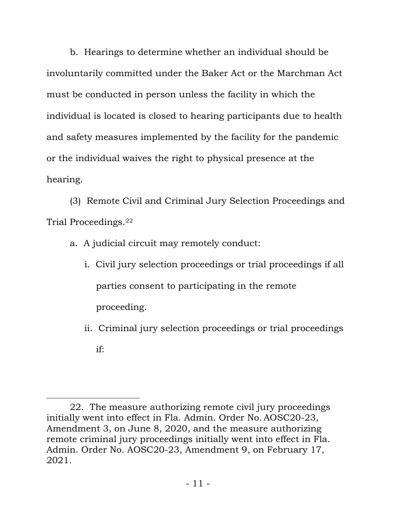b. Hearings to determine whether an individual should be involuntarily committed under the Baker Act or the Marchman Act must be conducted in person unless the facility in which the individual is located is closed to hearing participants due to health and safety measures implemented by the facility for the pandemic or the individual waives the right to physical presence at the hearing.

(3) Remote Civil and Criminal Jury Selection Proceedings and Trial Proceedings.[22](#page-10-0)

- a. A judicial circuit may remotely conduct:
	- i. Civil jury selection proceedings or trial proceedings if all parties consent to participating in the remote proceeding.
	- ii. Criminal jury selection proceedings or trial proceedings if:

<span id="page-10-0"></span><sup>22.</sup> The measure authorizing remote civil jury proceedings initially went into effect in Fla. Admin. Order No. AOSC20-23, Amendment 3, on June 8, 2020, and the measure authorizing remote criminal jury proceedings initially went into effect in Fla. Admin. Order No. AOSC20-23, Amendment 9, on February 17, 2021.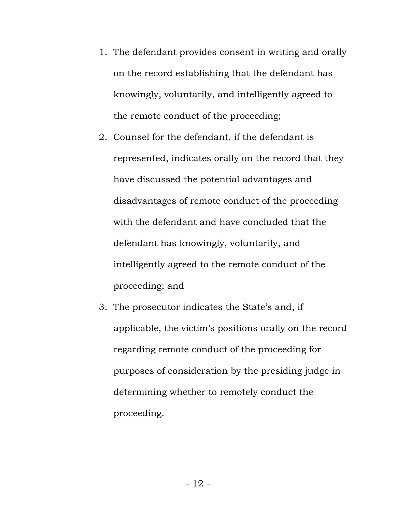- 1. The defendant provides consent in writing and orally on the record establishing that the defendant has knowingly, voluntarily, and intelligently agreed to the remote conduct of the proceeding;
- 2. Counsel for the defendant, if the defendant is represented, indicates orally on the record that they have discussed the potential advantages and disadvantages of remote conduct of the proceeding with the defendant and have concluded that the defendant has knowingly, voluntarily, and intelligently agreed to the remote conduct of the proceeding; and
- 3. The prosecutor indicates the State's and, if applicable, the victim's positions orally on the record regarding remote conduct of the proceeding for purposes of consideration by the presiding judge in determining whether to remotely conduct the proceeding.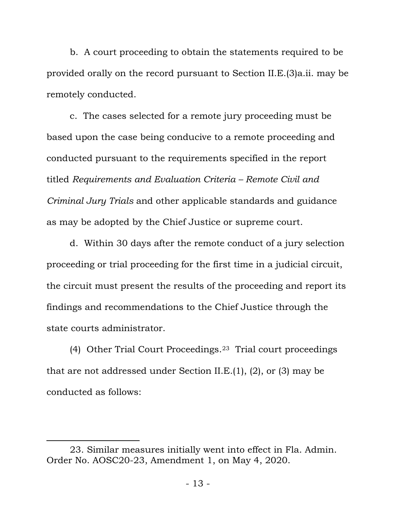b. A court proceeding to obtain the statements required to be provided orally on the record pursuant to Section II.E.(3)a.ii. may be remotely conducted.

c. The cases selected for a remote jury proceeding must be based upon the case being conducive to a remote proceeding and conducted pursuant to the requirements specified in the report titled *Requirements and Evaluation Criteria – Remote Civil and Criminal Jury Trials* and other applicable standards and guidance as may be adopted by the Chief Justice or supreme court.

d. Within 30 days after the remote conduct of a jury selection proceeding or trial proceeding for the first time in a judicial circuit, the circuit must present the results of the proceeding and report its findings and recommendations to the Chief Justice through the state courts administrator.

(4) Other Trial Court Proceedings.[23](#page-12-0) Trial court proceedings that are not addressed under Section II.E.(1), (2), or (3) may be conducted as follows:

<span id="page-12-0"></span><sup>23.</sup> Similar measures initially went into effect in Fla. Admin. Order No. AOSC20-23, Amendment 1, on May 4, 2020.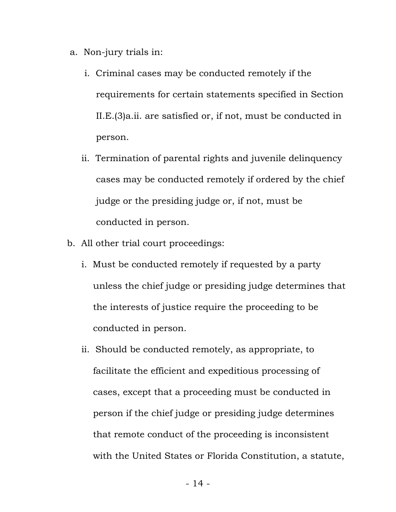- a. Non-jury trials in:
	- i. Criminal cases may be conducted remotely if the requirements for certain statements specified in Section II.E.(3)a.ii. are satisfied or, if not, must be conducted in person.
	- ii. Termination of parental rights and juvenile delinquency cases may be conducted remotely if ordered by the chief judge or the presiding judge or, if not, must be conducted in person.
- b. All other trial court proceedings:
	- i. Must be conducted remotely if requested by a party unless the chief judge or presiding judge determines that the interests of justice require the proceeding to be conducted in person.
	- ii. Should be conducted remotely, as appropriate, to facilitate the efficient and expeditious processing of cases, except that a proceeding must be conducted in person if the chief judge or presiding judge determines that remote conduct of the proceeding is inconsistent with the United States or Florida Constitution, a statute,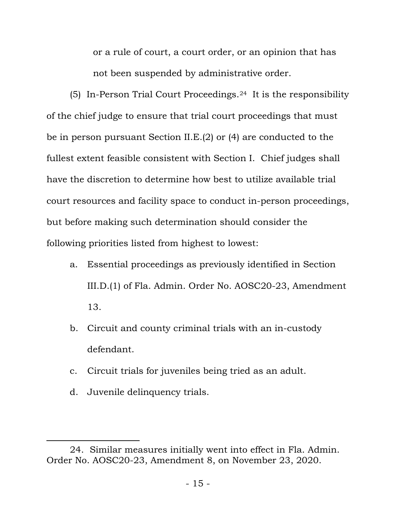or a rule of court, a court order, or an opinion that has not been suspended by administrative order.

(5) In-Person Trial Court Proceedings.[24](#page-14-0) It is the responsibility of the chief judge to ensure that trial court proceedings that must be in person pursuant Section II.E.(2) or (4) are conducted to the fullest extent feasible consistent with Section I. Chief judges shall have the discretion to determine how best to utilize available trial court resources and facility space to conduct in-person proceedings, but before making such determination should consider the following priorities listed from highest to lowest:

- a. Essential proceedings as previously identified in Section III.D.(1) of Fla. Admin. Order No. AOSC20-23, Amendment 13.
- b. Circuit and county criminal trials with an in-custody defendant.
- c. Circuit trials for juveniles being tried as an adult.
- d. Juvenile delinquency trials.

<span id="page-14-0"></span><sup>24.</sup> Similar measures initially went into effect in Fla. Admin. Order No. AOSC20-23, Amendment 8, on November 23, 2020.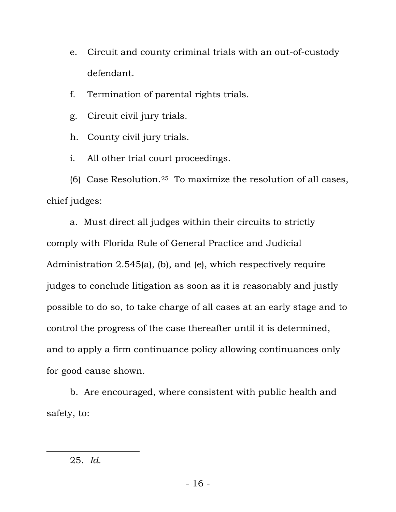e. Circuit and county criminal trials with an out-of-custody defendant.

f. Termination of parental rights trials.

g. Circuit civil jury trials.

h. County civil jury trials.

i. All other trial court proceedings.

(6) Case Resolution.<sup>25</sup> To maximize the resolution of all cases, chief judges:

a. Must direct all judges within their circuits to strictly comply with Florida Rule of General Practice and Judicial Administration 2.545(a), (b), and (e), which respectively require judges to conclude litigation as soon as it is reasonably and justly possible to do so, to take charge of all cases at an early stage and to control the progress of the case thereafter until it is determined, and to apply a firm continuance policy allowing continuances only for good cause shown.

b. Are encouraged, where consistent with public health and safety, to:

<span id="page-15-0"></span><sup>25.</sup> *Id.*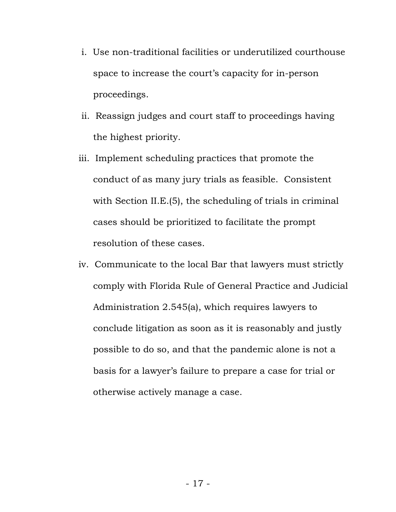- i. Use non-traditional facilities or underutilized courthouse space to increase the court's capacity for in-person proceedings.
- ii. Reassign judges and court staff to proceedings having the highest priority.
- iii. Implement scheduling practices that promote the conduct of as many jury trials as feasible. Consistent with Section II.E.(5), the scheduling of trials in criminal cases should be prioritized to facilitate the prompt resolution of these cases.
- iv. Communicate to the local Bar that lawyers must strictly comply with Florida Rule of General Practice and Judicial Administration 2.545(a), which requires lawyers to conclude litigation as soon as it is reasonably and justly possible to do so, and that the pandemic alone is not a basis for a lawyer's failure to prepare a case for trial or otherwise actively manage a case.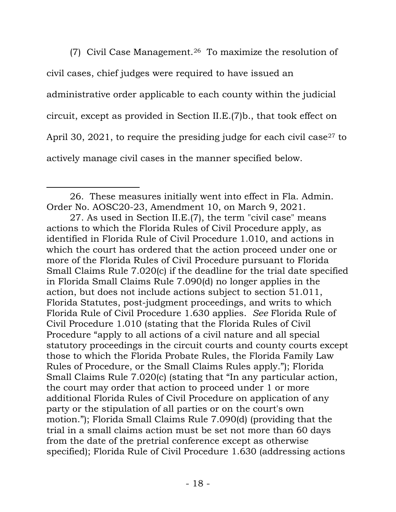(7) Civil Case Management.[26](#page-17-0) To maximize the resolution of civil cases, chief judges were required to have issued an administrative order applicable to each county within the judicial circuit, except as provided in Section II.E.(7)b., that took effect on April 30, 2021, to require the presiding judge for each civil case<sup>[27](#page-17-1)</sup> to actively manage civil cases in the manner specified below.

<span id="page-17-0"></span><sup>26.</sup> These measures initially went into effect in Fla. Admin. Order No. AOSC20-23, Amendment 10, on March 9, 2021.

<span id="page-17-1"></span><sup>27.</sup> As used in Section II.E.(7), the term "civil case" means actions to which the Florida Rules of Civil Procedure apply, as identified in Florida Rule of Civil Procedure 1.010, and actions in which the court has ordered that the action proceed under one or more of the Florida Rules of Civil Procedure pursuant to Florida Small Claims Rule 7.020(c) if the deadline for the trial date specified in Florida Small Claims Rule 7.090(d) no longer applies in the action, but does not include actions subject to section 51.011, Florida Statutes, post-judgment proceedings, and writs to which Florida Rule of Civil Procedure 1.630 applies. *See* Florida Rule of Civil Procedure 1.010 (stating that the Florida Rules of Civil Procedure "apply to all actions of a civil nature and all special statutory proceedings in the circuit courts and county courts except those to which the Florida Probate Rules, the Florida Family Law Rules of Procedure, or the Small Claims Rules apply."); Florida Small Claims Rule 7.020(c) (stating that "In any particular action, the court may order that action to proceed under 1 or more additional Florida Rules of Civil Procedure on application of any party or the stipulation of all parties or on the court's own motion."); Florida Small Claims Rule 7.090(d) (providing that the trial in a small claims action must be set not more than 60 days from the date of the pretrial conference except as otherwise specified); Florida Rule of Civil Procedure 1.630 (addressing actions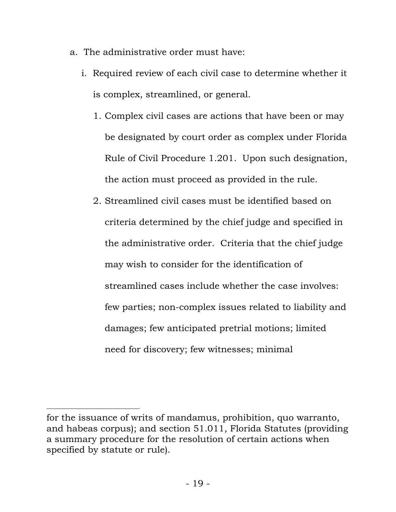- a. The administrative order must have:
	- i. Required review of each civil case to determine whether it is complex, streamlined, or general.
		- 1. Complex civil cases are actions that have been or may be designated by court order as complex under Florida Rule of Civil Procedure 1.201. Upon such designation, the action must proceed as provided in the rule.
		- 2. Streamlined civil cases must be identified based on criteria determined by the chief judge and specified in the administrative order. Criteria that the chief judge may wish to consider for the identification of streamlined cases include whether the case involves: few parties; non-complex issues related to liability and damages; few anticipated pretrial motions; limited need for discovery; few witnesses; minimal

for the issuance of writs of mandamus, prohibition, quo warranto, and habeas corpus); and section 51.011, Florida Statutes (providing a summary procedure for the resolution of certain actions when specified by statute or rule).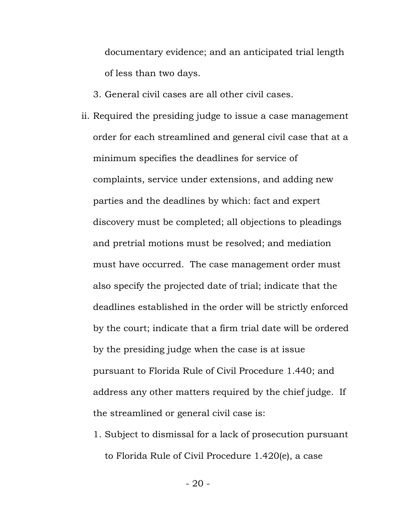documentary evidence; and an anticipated trial length of less than two days.

3. General civil cases are all other civil cases.

- ii. Required the presiding judge to issue a case management order for each streamlined and general civil case that at a minimum specifies the deadlines for service of complaints, service under extensions, and adding new parties and the deadlines by which: fact and expert discovery must be completed; all objections to pleadings and pretrial motions must be resolved; and mediation must have occurred. The case management order must also specify the projected date of trial; indicate that the deadlines established in the order will be strictly enforced by the court; indicate that a firm trial date will be ordered by the presiding judge when the case is at issue pursuant to Florida Rule of Civil Procedure 1.440; and address any other matters required by the chief judge. If the streamlined or general civil case is:
	- 1. Subject to dismissal for a lack of prosecution pursuant to Florida Rule of Civil Procedure 1.420(e), a case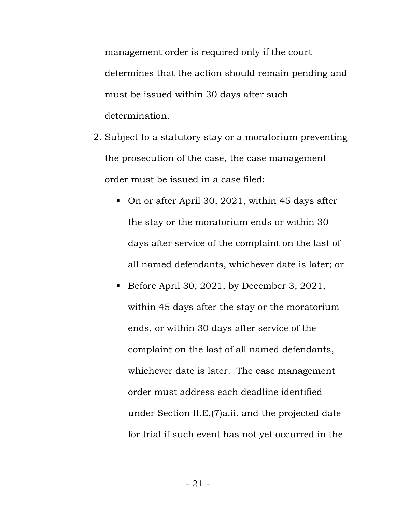management order is required only if the court determines that the action should remain pending and must be issued within 30 days after such determination.

- 2. Subject to a statutory stay or a moratorium preventing the prosecution of the case, the case management order must be issued in a case filed:
	- On or after April 30, 2021, within 45 days after the stay or the moratorium ends or within 30 days after service of the complaint on the last of all named defendants, whichever date is later; or
	- Before April 30, 2021, by December 3, 2021, within 45 days after the stay or the moratorium ends, or within 30 days after service of the complaint on the last of all named defendants, whichever date is later. The case management order must address each deadline identified under Section II.E.(7)a.ii. and the projected date for trial if such event has not yet occurred in the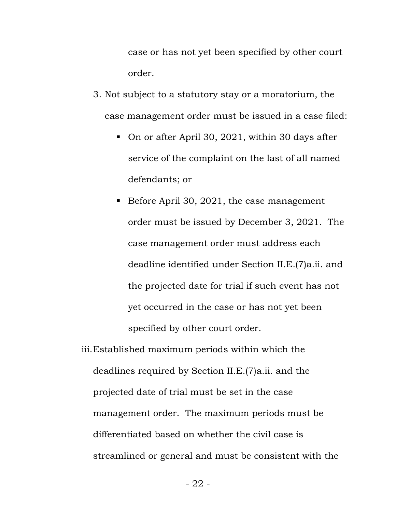case or has not yet been specified by other court order.

- 3. Not subject to a statutory stay or a moratorium, the case management order must be issued in a case filed:
	- On or after April 30, 2021, within 30 days after service of the complaint on the last of all named defendants; or
	- Before April 30, 2021, the case management order must be issued by December 3, 2021. The case management order must address each deadline identified under Section II.E.(7)a.ii. and the projected date for trial if such event has not yet occurred in the case or has not yet been specified by other court order.

iii.Established maximum periods within which the deadlines required by Section II.E.(7)a.ii. and the projected date of trial must be set in the case management order. The maximum periods must be differentiated based on whether the civil case is streamlined or general and must be consistent with the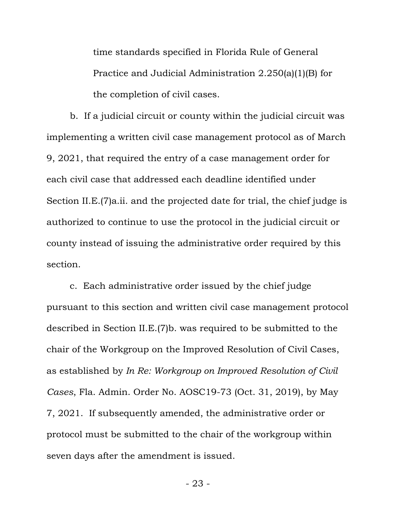time standards specified in Florida Rule of General Practice and Judicial Administration 2.250(a)(1)(B) for the completion of civil cases.

b. If a judicial circuit or county within the judicial circuit was implementing a written civil case management protocol as of March 9, 2021, that required the entry of a case management order for each civil case that addressed each deadline identified under Section II.E.(7)a.ii. and the projected date for trial, the chief judge is authorized to continue to use the protocol in the judicial circuit or county instead of issuing the administrative order required by this section.

c. Each administrative order issued by the chief judge pursuant to this section and written civil case management protocol described in Section II.E.(7)b. was required to be submitted to the chair of the Workgroup on the Improved Resolution of Civil Cases, as established by *In Re: Workgroup on Improved Resolution of Civil Cases*, Fla. Admin. Order No. AOSC19-73 (Oct. 31, 2019), by May 7, 2021. If subsequently amended, the administrative order or protocol must be submitted to the chair of the workgroup within seven days after the amendment is issued.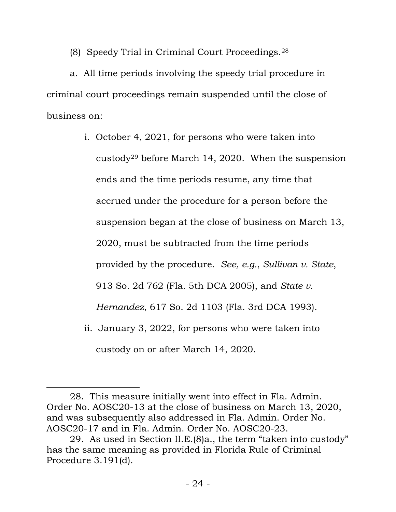(8) Speedy Trial in Criminal Court Proceedings.[28](#page-23-0)

a. All time periods involving the speedy trial procedure in criminal court proceedings remain suspended until the close of business on:

> i. October 4, 2021, for persons who were taken into custody[29](#page-23-1) before March 14, 2020. When the suspension ends and the time periods resume, any time that accrued under the procedure for a person before the suspension began at the close of business on March 13, 2020, must be subtracted from the time periods provided by the procedure. *See, e.g.*, *Sullivan v. State*, 913 So. 2d 762 (Fla. 5th DCA 2005), and *State v. Hernandez*, 617 So. 2d 1103 (Fla. 3rd DCA 1993). ii. January 3, 2022, for persons who were taken into

custody on or after March 14, 2020.

<span id="page-23-0"></span><sup>28.</sup> This measure initially went into effect in Fla. Admin. Order No. AOSC20-13 at the close of business on March 13, 2020, and was subsequently also addressed in Fla. Admin. Order No. AOSC20-17 and in Fla. Admin. Order No. AOSC20-23.

<span id="page-23-1"></span><sup>29.</sup> As used in Section II.E.(8)a., the term "taken into custody" has the same meaning as provided in Florida Rule of Criminal Procedure 3.191(d).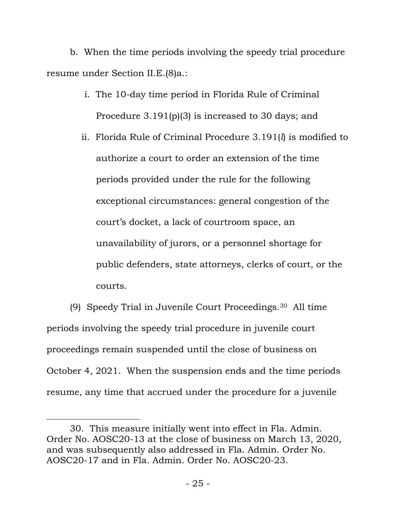b. When the time periods involving the speedy trial procedure resume under Section II.E.(8)a.:

- i. The 10-day time period in Florida Rule of Criminal Procedure 3.191(p)(3) is increased to 30 days; and
- ii. Florida Rule of Criminal Procedure 3.191(*l*) is modified to authorize a court to order an extension of the time periods provided under the rule for the following exceptional circumstances: general congestion of the court's docket, a lack of courtroom space, an unavailability of jurors, or a personnel shortage for public defenders, state attorneys, clerks of court, or the courts.

(9) Speedy Trial in Juvenile Court Proceedings.[30](#page-24-0) All time periods involving the speedy trial procedure in juvenile court proceedings remain suspended until the close of business on October 4, 2021. When the suspension ends and the time periods resume, any time that accrued under the procedure for a juvenile

<span id="page-24-0"></span><sup>30.</sup> This measure initially went into effect in Fla. Admin. Order No. AOSC20-13 at the close of business on March 13, 2020, and was subsequently also addressed in Fla. Admin. Order No. AOSC20-17 and in Fla. Admin. Order No. AOSC20-23.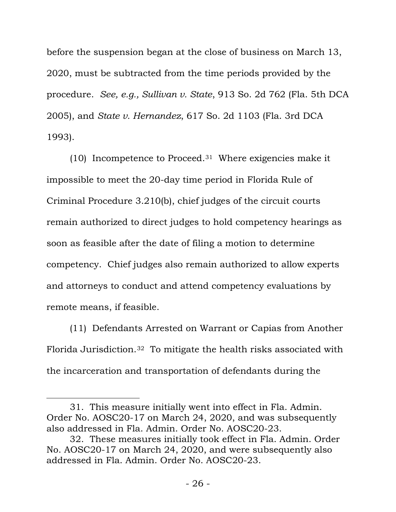before the suspension began at the close of business on March 13, 2020, must be subtracted from the time periods provided by the procedure. *See, e.g., Sullivan v. State*, 913 So. 2d 762 (Fla. 5th DCA 2005), and *State v. Hernandez*, 617 So. 2d 1103 (Fla. 3rd DCA 1993).

(10) Incompetence to Proceed.[31](#page-25-0) Where exigencies make it impossible to meet the 20-day time period in Florida Rule of Criminal Procedure 3.210(b), chief judges of the circuit courts remain authorized to direct judges to hold competency hearings as soon as feasible after the date of filing a motion to determine competency. Chief judges also remain authorized to allow experts and attorneys to conduct and attend competency evaluations by remote means, if feasible.

(11) Defendants Arrested on Warrant or Capias from Another Florida Jurisdiction.3[2](#page-25-1) To mitigate the health risks associated with the incarceration and transportation of defendants during the

<span id="page-25-0"></span><sup>31.</sup> This measure initially went into effect in Fla. Admin. Order No. AOSC20-17 on March 24, 2020, and was subsequently also addressed in Fla. Admin. Order No. AOSC20-23.

<span id="page-25-1"></span><sup>32.</sup> These measures initially took effect in Fla. Admin. Order No. AOSC20-17 on March 24, 2020, and were subsequently also addressed in Fla. Admin. Order No. AOSC20-23.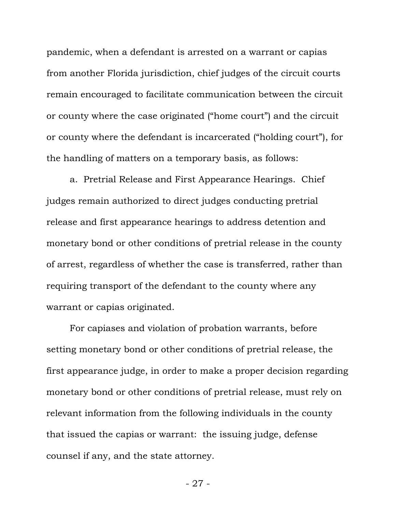pandemic, when a defendant is arrested on a warrant or capias from another Florida jurisdiction, chief judges of the circuit courts remain encouraged to facilitate communication between the circuit or county where the case originated ("home court") and the circuit or county where the defendant is incarcerated ("holding court"), for the handling of matters on a temporary basis, as follows:

a. Pretrial Release and First Appearance Hearings. Chief judges remain authorized to direct judges conducting pretrial release and first appearance hearings to address detention and monetary bond or other conditions of pretrial release in the county of arrest, regardless of whether the case is transferred, rather than requiring transport of the defendant to the county where any warrant or capias originated.

For capiases and violation of probation warrants, before setting monetary bond or other conditions of pretrial release, the first appearance judge, in order to make a proper decision regarding monetary bond or other conditions of pretrial release, must rely on relevant information from the following individuals in the county that issued the capias or warrant: the issuing judge, defense counsel if any, and the state attorney.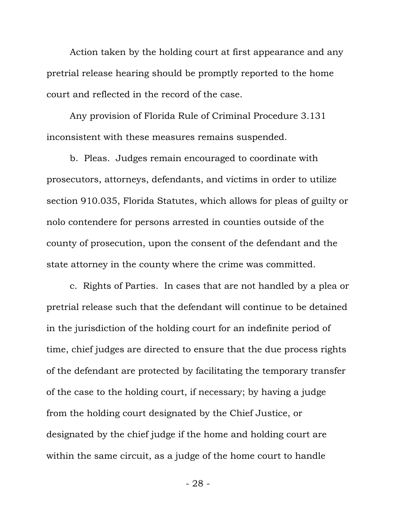Action taken by the holding court at first appearance and any pretrial release hearing should be promptly reported to the home court and reflected in the record of the case.

Any provision of Florida Rule of Criminal Procedure 3.131 inconsistent with these measures remains suspended.

b. Pleas. Judges remain encouraged to coordinate with prosecutors, attorneys, defendants, and victims in order to utilize section 910.035, Florida Statutes, which allows for pleas of guilty or nolo contendere for persons arrested in counties outside of the county of prosecution, upon the consent of the defendant and the state attorney in the county where the crime was committed.

c. Rights of Parties. In cases that are not handled by a plea or pretrial release such that the defendant will continue to be detained in the jurisdiction of the holding court for an indefinite period of time, chief judges are directed to ensure that the due process rights of the defendant are protected by facilitating the temporary transfer of the case to the holding court, if necessary; by having a judge from the holding court designated by the Chief Justice, or designated by the chief judge if the home and holding court are within the same circuit, as a judge of the home court to handle

- 28 -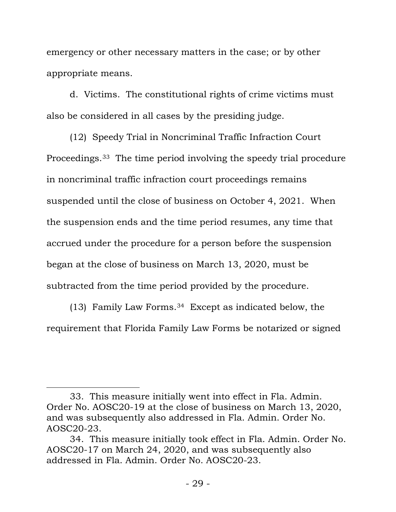emergency or other necessary matters in the case; or by other appropriate means.

d. Victims. The constitutional rights of crime victims must also be considered in all cases by the presiding judge.

(12) Speedy Trial in Noncriminal Traffic Infraction Court Proceedings.33 [T](#page-28-0)he time period involving the speedy trial procedure in noncriminal traffic infraction court proceedings remains suspended until the close of business on October 4, 2021. When the suspension ends and the time period resumes, any time that accrued under the procedure for a person before the suspension began at the close of business on March 13, 2020, must be subtracted from the time period provided by the procedure.

(13) Family Law Forms.[34](#page-28-1) Except as indicated below, the requirement that Florida Family Law Forms be notarized or signed

<span id="page-28-0"></span><sup>33.</sup> This measure initially went into effect in Fla. Admin. Order No. AOSC20-19 at the close of business on March 13, 2020, and was subsequently also addressed in Fla. Admin. Order No. AOSC20-23.

<span id="page-28-1"></span><sup>34.</sup> This measure initially took effect in Fla. Admin. Order No. AOSC20-17 on March 24, 2020, and was subsequently also addressed in Fla. Admin. Order No. AOSC20-23.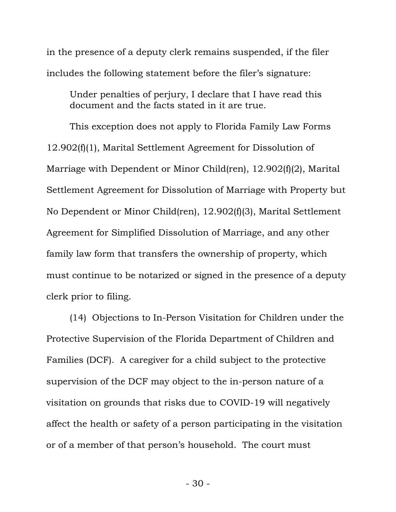in the presence of a deputy clerk remains suspended, if the filer includes the following statement before the filer's signature:

Under penalties of perjury, I declare that I have read this document and the facts stated in it are true.

This exception does not apply to Florida Family Law Forms 12.902(f)(1), Marital Settlement Agreement for Dissolution of Marriage with Dependent or Minor Child(ren), 12.902(f)(2), Marital Settlement Agreement for Dissolution of Marriage with Property but No Dependent or Minor Child(ren), 12.902(f)(3), Marital Settlement Agreement for Simplified Dissolution of Marriage, and any other family law form that transfers the ownership of property, which must continue to be notarized or signed in the presence of a deputy clerk prior to filing.

(14) Objections to In-Person Visitation for Children under the Protective Supervision of the Florida Department of Children and Families (DCF). A caregiver for a child subject to the protective supervision of the DCF may object to the in-person nature of a visitation on grounds that risks due to COVID-19 will negatively affect the health or safety of a person participating in the visitation or of a member of that person's household. The court must